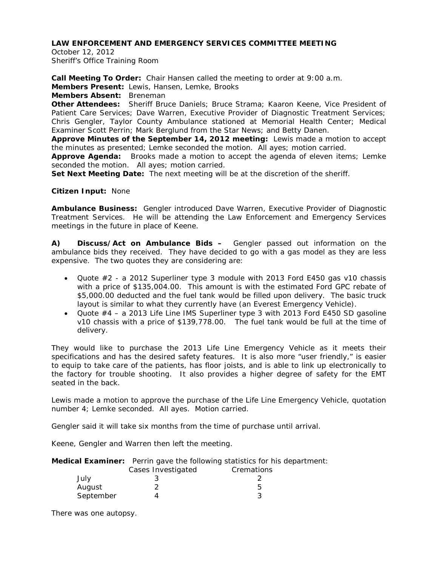October 12, 2012 Sheriff's Office Training Room

**Call Meeting To Order:** Chair Hansen called the meeting to order at 9:00 a.m.

**Members Present:** Lewis, Hansen, Lemke, Brooks

**Members Absent:** Breneman

**Other Attendees:** Sheriff Bruce Daniels; Bruce Strama; Kaaron Keene, Vice President of Patient Care Services; Dave Warren, Executive Provider of Diagnostic Treatment Services; Chris Gengler, Taylor County Ambulance stationed at Memorial Health Center; Medical Examiner Scott Perrin; Mark Berglund from the Star News; and Betty Danen.

**Approve Minutes of the September 14, 2012 meeting:** Lewis made a motion to accept the minutes as presented; Lemke seconded the motion. All ayes; motion carried.

**Approve Agenda:** Brooks made a motion to accept the agenda of eleven items; Lemke seconded the motion. All ayes; motion carried.

**Set Next Meeting Date:** The next meeting will be at the discretion of the sheriff.

**Citizen Input:** None

**Ambulance Business:** Gengler introduced Dave Warren, Executive Provider of Diagnostic Treatment Services. He will be attending the Law Enforcement and Emergency Services meetings in the future in place of Keene.

**A) Discuss/Act on Ambulance Bids –** Gengler passed out information on the ambulance bids they received. They have decided to go with a gas model as they are less expensive. The two quotes they are considering are:

- Quote #2 a 2012 Superliner type 3 module with 2013 Ford E450 gas v10 chassis with a price of \$135,004.00. This amount is with the estimated Ford GPC rebate of \$5,000.00 deducted and the fuel tank would be filled upon delivery. The basic truck layout is similar to what they currently have (an Everest Emergency Vehicle).
- Quote #4 a 2013 Life Line IMS Superliner type 3 with 2013 Ford E450 SD gasoline v10 chassis with a price of \$139,778.00. The fuel tank would be full at the time of delivery.

They would like to purchase the 2013 Life Line Emergency Vehicle as it meets their specifications and has the desired safety features. It is also more "user friendly," is easier to equip to take care of the patients, has floor joists, and is able to link up electronically to the factory for trouble shooting. It also provides a higher degree of safety for the EMT seated in the back.

Lewis made a motion to approve the purchase of the Life Line Emergency Vehicle, quotation number 4; Lemke seconded. All ayes. Motion carried.

Gengler said it will take six months from the time of purchase until arrival.

Keene, Gengler and Warren then left the meeting.

**Medical Examiner:** Perrin gave the following statistics for his department: Cases Investigated Cremations

|           | Cases IIIvestiyateu | <b>U</b> elliquotis |
|-----------|---------------------|---------------------|
| July      |                     |                     |
| August    |                     |                     |
| September |                     |                     |

There was one autopsy.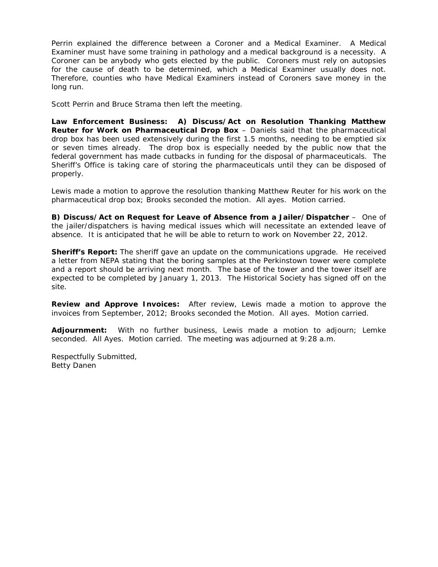Perrin explained the difference between a Coroner and a Medical Examiner. A Medical Examiner must have some training in pathology and a medical background is a necessity. A Coroner can be anybody who gets elected by the public. Coroners must rely on autopsies for the cause of death to be determined, which a Medical Examiner usually does not. Therefore, counties who have Medical Examiners instead of Coroners save money in the long run.

Scott Perrin and Bruce Strama then left the meeting.

**Law Enforcement Business: A) Discuss/Act on Resolution Thanking Matthew Reuter for Work on Pharmaceutical Drop Box** – Daniels said that the pharmaceutical drop box has been used extensively during the first 1.5 months, needing to be emptied six or seven times already. The drop box is especially needed by the public now that the federal government has made cutbacks in funding for the disposal of pharmaceuticals. The Sheriff's Office is taking care of storing the pharmaceuticals until they can be disposed of properly.

Lewis made a motion to approve the resolution thanking Matthew Reuter for his work on the pharmaceutical drop box; Brooks seconded the motion. All ayes. Motion carried.

**B) Discuss/Act on Request for Leave of Absence from a Jailer/Dispatcher** – One of the jailer/dispatchers is having medical issues which will necessitate an extended leave of absence. It is anticipated that he will be able to return to work on November 22, 2012.

**Sheriff's Report:** The sheriff gave an update on the communications upgrade. He received a letter from NEPA stating that the boring samples at the Perkinstown tower were complete and a report should be arriving next month. The base of the tower and the tower itself are expected to be completed by January 1, 2013. The Historical Society has signed off on the site.

**Review and Approve Invoices:** After review, Lewis made a motion to approve the invoices from September, 2012; Brooks seconded the Motion. All ayes. Motion carried.

**Adjournment:** With no further business, Lewis made a motion to adjourn; Lemke seconded. All Ayes. Motion carried. The meeting was adjourned at 9:28 a.m.

Respectfully Submitted, Betty Danen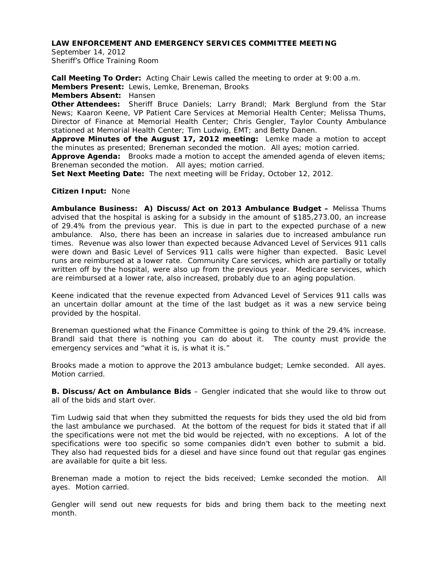September 14, 2012 Sheriff's Office Training Room

**Call Meeting To Order:** Acting Chair Lewis called the meeting to order at 9:00 a.m. **Members Present:** Lewis, Lemke, Breneman, Brooks

**Members Absent:** Hansen

**Other Attendees:** Sheriff Bruce Daniels; Larry Brandl; Mark Berglund from the Star News; Kaaron Keene, VP Patient Care Services at Memorial Health Center; Melissa Thums, Director of Finance at Memorial Health Center; Chris Gengler, Taylor County Ambulance stationed at Memorial Health Center; Tim Ludwig, EMT; and Betty Danen.

**Approve Minutes of the August 17, 2012 meeting:** Lemke made a motion to accept the minutes as presented; Breneman seconded the motion. All ayes; motion carried.

**Approve Agenda:** Brooks made a motion to accept the amended agenda of eleven items; Breneman seconded the motion. All ayes; motion carried.

**Set Next Meeting Date:** The next meeting will be Friday, October 12, 2012.

**Citizen Input:** None

**Ambulance Business: A) Discuss/Act on 2013 Ambulance Budget –** Melissa Thums advised that the hospital is asking for a subsidy in the amount of \$185,273.00, an increase of 29.4% from the previous year. This is due in part to the expected purchase of a new ambulance. Also, there has been an increase in salaries due to increased ambulance run times. Revenue was also lower than expected because Advanced Level of Services 911 calls were down and Basic Level of Services 911 calls were higher than expected. Basic Level runs are reimbursed at a lower rate. Community Care services, which are partially or totally written off by the hospital, were also up from the previous year. Medicare services, which are reimbursed at a lower rate, also increased, probably due to an aging population.

Keene indicated that the revenue expected from Advanced Level of Services 911 calls was an uncertain dollar amount at the time of the last budget as it was a new service being provided by the hospital.

Breneman questioned what the Finance Committee is going to think of the 29.4% increase. Brandl said that there is nothing you can do about it. The county must provide the emergency services and "what it is, is what it is."

Brooks made a motion to approve the 2013 ambulance budget; Lemke seconded. All ayes. Motion carried.

**B. Discuss/Act on Ambulance Bids** – Gengler indicated that she would like to throw out all of the bids and start over.

Tim Ludwig said that when they submitted the requests for bids they used the old bid from the last ambulance we purchased. At the bottom of the request for bids it stated that if all the specifications were not met the bid would be rejected, with no exceptions. A lot of the specifications were too specific so some companies didn't even bother to submit a bid. They also had requested bids for a diesel and have since found out that regular gas engines are available for quite a bit less.

Breneman made a motion to reject the bids received; Lemke seconded the motion. All ayes. Motion carried.

Gengler will send out new requests for bids and bring them back to the meeting next month.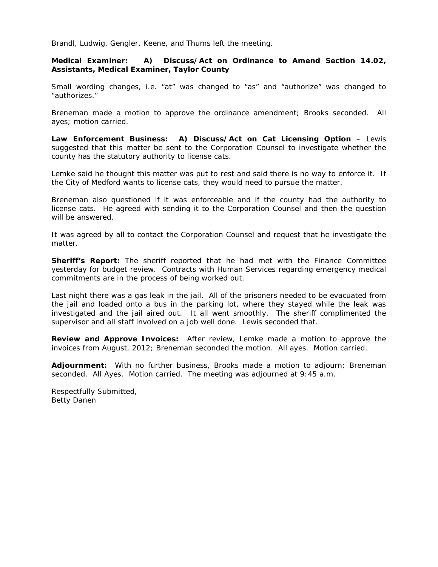Brandl, Ludwig, Gengler, Keene, and Thums left the meeting.

**Medical Examiner: A) Discuss/Act on Ordinance to Amend Section 14.02, Assistants, Medical Examiner, Taylor County** 

Small wording changes, i.e. "at" was changed to "as" and "authorize" was changed to "authorizes."

Breneman made a motion to approve the ordinance amendment; Brooks seconded. All ayes; motion carried.

**Law Enforcement Business: A) Discuss/Act on Cat Licensing Option** – Lewis suggested that this matter be sent to the Corporation Counsel to investigate whether the county has the statutory authority to license cats.

Lemke said he thought this matter was put to rest and said there is no way to enforce it. If the City of Medford wants to license cats, they would need to pursue the matter.

Breneman also questioned if it was enforceable and if the county had the authority to license cats. He agreed with sending it to the Corporation Counsel and then the question will be answered.

It was agreed by all to contact the Corporation Counsel and request that he investigate the matter.

**Sheriff's Report:** The sheriff reported that he had met with the Finance Committee yesterday for budget review. Contracts with Human Services regarding emergency medical commitments are in the process of being worked out.

Last night there was a gas leak in the jail. All of the prisoners needed to be evacuated from the jail and loaded onto a bus in the parking lot, where they stayed while the leak was investigated and the jail aired out. It all went smoothly. The sheriff complimented the supervisor and all staff involved on a job well done. Lewis seconded that.

**Review and Approve Invoices:** After review, Lemke made a motion to approve the invoices from August, 2012; Breneman seconded the motion. All ayes. Motion carried.

**Adjournment:** With no further business, Brooks made a motion to adjourn; Breneman seconded. All Ayes. Motion carried. The meeting was adjourned at 9:45 a.m.

Respectfully Submitted, Betty Danen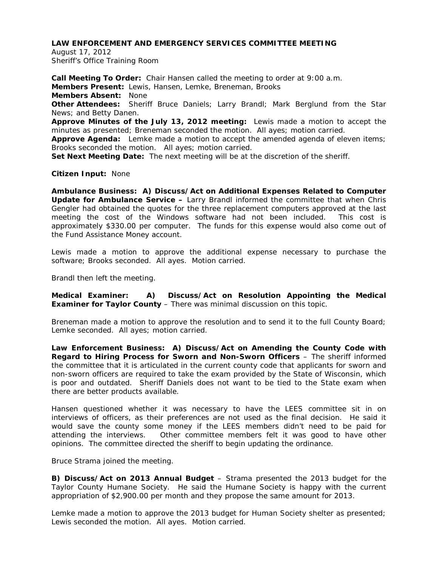August 17, 2012 Sheriff's Office Training Room

**Call Meeting To Order:** Chair Hansen called the meeting to order at 9:00 a.m. **Members Present:** Lewis, Hansen, Lemke, Breneman, Brooks **Members Absent:** None **Other Attendees:** Sheriff Bruce Daniels; Larry Brandl; Mark Berglund from the Star News; and Betty Danen. **Approve Minutes of the July 13, 2012 meeting:** Lewis made a motion to accept the minutes as presented; Breneman seconded the motion. All ayes; motion carried. **Approve Agenda:** Lemke made a motion to accept the amended agenda of eleven items; Brooks seconded the motion. All ayes; motion carried.

**Set Next Meeting Date:** The next meeting will be at the discretion of the sheriff.

#### **Citizen Input:** None

**Ambulance Business: A) Discuss/Act on Additional Expenses Related to Computer Update for Ambulance Service –** Larry Brandl informed the committee that when Chris Gengler had obtained the quotes for the three replacement computers approved at the last meeting the cost of the Windows software had not been included. This cost is approximately \$330.00 per computer. The funds for this expense would also come out of the Fund Assistance Money account.

Lewis made a motion to approve the additional expense necessary to purchase the software; Brooks seconded. All ayes. Motion carried.

Brandl then left the meeting.

**Medical Examiner: A) Discuss/Act on Resolution Appointing the Medical Examiner for Taylor County** – There was minimal discussion on this topic.

Breneman made a motion to approve the resolution and to send it to the full County Board; Lemke seconded. All ayes; motion carried.

**Law Enforcement Business: A) Discuss/Act on Amending the County Code with Regard to Hiring Process for Sworn and Non-Sworn Officers** – The sheriff informed the committee that it is articulated in the current county code that applicants for sworn and non-sworn officers are required to take the exam provided by the State of Wisconsin, which is poor and outdated. Sheriff Daniels does not want to be tied to the State exam when there are better products available.

Hansen questioned whether it was necessary to have the LEES committee sit in on interviews of officers, as their preferences are not used as the final decision. He said it would save the county some money if the LEES members didn't need to be paid for attending the interviews. Other committee members felt it was good to have other opinions. The committee directed the sheriff to begin updating the ordinance.

Bruce Strama joined the meeting.

**B) Discuss/Act on 2013 Annual Budget** – Strama presented the 2013 budget for the Taylor County Humane Society. He said the Humane Society is happy with the current appropriation of \$2,900.00 per month and they propose the same amount for 2013.

Lemke made a motion to approve the 2013 budget for Human Society shelter as presented; Lewis seconded the motion. All ayes. Motion carried.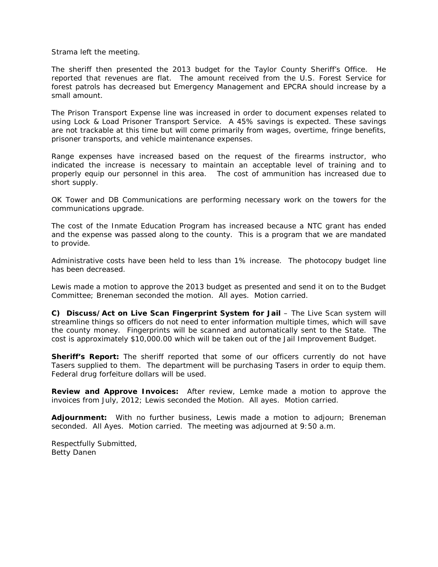Strama left the meeting.

The sheriff then presented the 2013 budget for the Taylor County Sheriff's Office. He reported that revenues are flat. The amount received from the U.S. Forest Service for forest patrols has decreased but Emergency Management and EPCRA should increase by a small amount.

The Prison Transport Expense line was increased in order to document expenses related to using Lock & Load Prisoner Transport Service. A 45% savings is expected. These savings are not trackable at this time but will come primarily from wages, overtime, fringe benefits, prisoner transports, and vehicle maintenance expenses.

Range expenses have increased based on the request of the firearms instructor, who indicated the increase is necessary to maintain an acceptable level of training and to properly equip our personnel in this area. The cost of ammunition has increased due to short supply.

OK Tower and DB Communications are performing necessary work on the towers for the communications upgrade.

The cost of the Inmate Education Program has increased because a NTC grant has ended and the expense was passed along to the county. This is a program that we are mandated to provide.

Administrative costs have been held to less than 1% increase. The photocopy budget line has been decreased.

Lewis made a motion to approve the 2013 budget as presented and send it on to the Budget Committee; Breneman seconded the motion. All ayes. Motion carried.

**C) Discuss/Act on Live Scan Fingerprint System for Jail** – The Live Scan system will streamline things so officers do not need to enter information multiple times, which will save the county money. Fingerprints will be scanned and automatically sent to the State. The cost is approximately \$10,000.00 which will be taken out of the Jail Improvement Budget.

**Sheriff's Report:** The sheriff reported that some of our officers currently do not have Tasers supplied to them. The department will be purchasing Tasers in order to equip them. Federal drug forfeiture dollars will be used.

**Review and Approve Invoices:** After review, Lemke made a motion to approve the invoices from July, 2012; Lewis seconded the Motion. All ayes. Motion carried.

**Adjournment:** With no further business, Lewis made a motion to adjourn; Breneman seconded. All Ayes. Motion carried. The meeting was adjourned at 9:50 a.m.

Respectfully Submitted, Betty Danen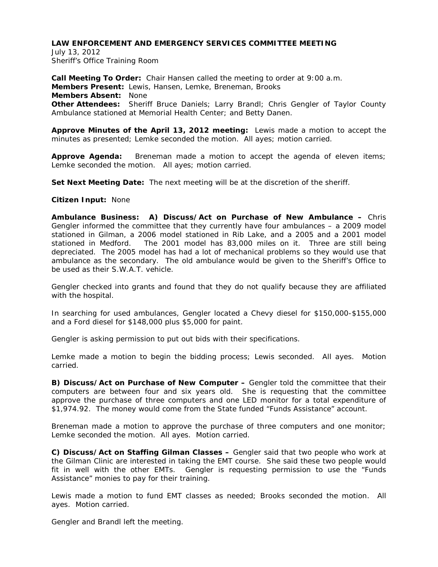July 13, 2012 Sheriff's Office Training Room

**Call Meeting To Order:** Chair Hansen called the meeting to order at 9:00 a.m. **Members Present:** Lewis, Hansen, Lemke, Breneman, Brooks **Members Absent:** None **Other Attendees:** Sheriff Bruce Daniels; Larry Brandl; Chris Gengler of Taylor County Ambulance stationed at Memorial Health Center; and Betty Danen.

**Approve Minutes of the April 13, 2012 meeting:** Lewis made a motion to accept the minutes as presented; Lemke seconded the motion. All ayes; motion carried.

**Approve Agenda:** Breneman made a motion to accept the agenda of eleven items; Lemke seconded the motion. All ayes; motion carried.

**Set Next Meeting Date:** The next meeting will be at the discretion of the sheriff.

#### **Citizen Input:** None

**Ambulance Business: A) Discuss/Act on Purchase of New Ambulance –** Chris Gengler informed the committee that they currently have four ambulances – a 2009 model stationed in Gilman, a 2006 model stationed in Rib Lake, and a 2005 and a 2001 model stationed in Medford. The 2001 model has 83,000 miles on it. Three are still being depreciated. The 2005 model has had a lot of mechanical problems so they would use that ambulance as the secondary. The old ambulance would be given to the Sheriff's Office to be used as their S.W.A.T. vehicle.

Gengler checked into grants and found that they do not qualify because they are affiliated with the hospital.

In searching for used ambulances, Gengler located a Chevy diesel for \$150,000-\$155,000 and a Ford diesel for \$148,000 plus \$5,000 for paint.

Gengler is asking permission to put out bids with their specifications.

Lemke made a motion to begin the bidding process; Lewis seconded. All ayes. Motion carried.

**B) Discuss/Act on Purchase of New Computer –** Gengler told the committee that their computers are between four and six years old. She is requesting that the committee approve the purchase of three computers and one LED monitor for a total expenditure of \$1,974.92. The money would come from the State funded "Funds Assistance" account.

Breneman made a motion to approve the purchase of three computers and one monitor; Lemke seconded the motion. All ayes. Motion carried.

**C) Discuss/Act on Staffing Gilman Classes –** Gengler said that two people who work at the Gilman Clinic are interested in taking the EMT course. She said these two people would fit in well with the other EMTs. Gengler is requesting permission to use the "Funds Assistance" monies to pay for their training.

Lewis made a motion to fund EMT classes as needed; Brooks seconded the motion. All ayes. Motion carried.

Gengler and Brandl left the meeting.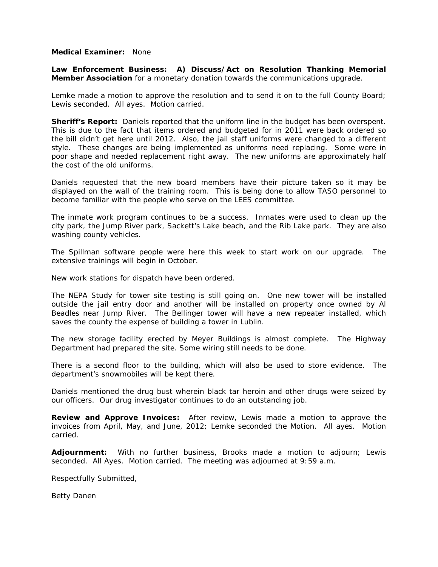#### **Medical Examiner:** None

**Law Enforcement Business: A) Discuss/Act on Resolution Thanking Memorial Member Association** for a monetary donation towards the communications upgrade.

Lemke made a motion to approve the resolution and to send it on to the full County Board; Lewis seconded. All ayes. Motion carried.

**Sheriff's Report:** Daniels reported that the uniform line in the budget has been overspent. This is due to the fact that items ordered and budgeted for in 2011 were back ordered so the bill didn't get here until 2012. Also, the jail staff uniforms were changed to a different style. These changes are being implemented as uniforms need replacing. Some were in poor shape and needed replacement right away. The new uniforms are approximately half the cost of the old uniforms.

Daniels requested that the new board members have their picture taken so it may be displayed on the wall of the training room. This is being done to allow TASO personnel to become familiar with the people who serve on the LEES committee.

The inmate work program continues to be a success. Inmates were used to clean up the city park, the Jump River park, Sackett's Lake beach, and the Rib Lake park. They are also washing county vehicles.

The Spillman software people were here this week to start work on our upgrade. The extensive trainings will begin in October.

New work stations for dispatch have been ordered.

The NEPA Study for tower site testing is still going on. One new tower will be installed outside the jail entry door and another will be installed on property once owned by Al Beadles near Jump River. The Bellinger tower will have a new repeater installed, which saves the county the expense of building a tower in Lublin.

The new storage facility erected by Meyer Buildings is almost complete. The Highway Department had prepared the site. Some wiring still needs to be done.

There is a second floor to the building, which will also be used to store evidence. The department's snowmobiles will be kept there.

Daniels mentioned the drug bust wherein black tar heroin and other drugs were seized by our officers. Our drug investigator continues to do an outstanding job.

**Review and Approve Invoices:** After review, Lewis made a motion to approve the invoices from April, May, and June, 2012; Lemke seconded the Motion. All ayes. Motion carried.

**Adjournment:** With no further business, Brooks made a motion to adjourn; Lewis seconded. All Ayes. Motion carried. The meeting was adjourned at 9:59 a.m.

Respectfully Submitted,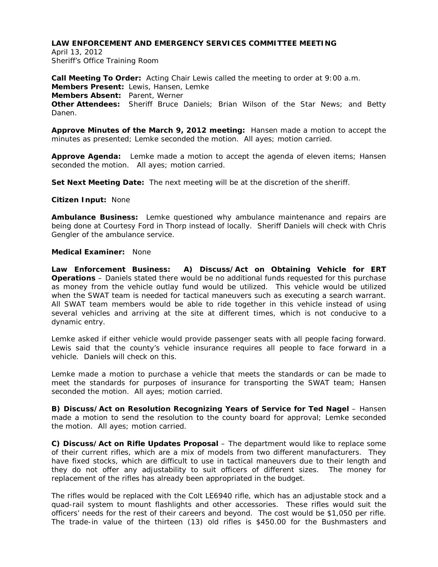April 13, 2012 Sheriff's Office Training Room

**Call Meeting To Order:** Acting Chair Lewis called the meeting to order at 9:00 a.m. **Members Present:** Lewis, Hansen, Lemke **Members Absent:** Parent, Werner **Other Attendees:** Sheriff Bruce Daniels; Brian Wilson of the Star News; and Betty Danen.

**Approve Minutes of the March 9, 2012 meeting:** Hansen made a motion to accept the minutes as presented; Lemke seconded the motion. All ayes; motion carried.

**Approve Agenda:** Lemke made a motion to accept the agenda of eleven items; Hansen seconded the motion. All ayes; motion carried.

**Set Next Meeting Date:** The next meeting will be at the discretion of the sheriff.

#### **Citizen Input:** None

**Ambulance Business:** Lemke questioned why ambulance maintenance and repairs are being done at Courtesy Ford in Thorp instead of locally. Sheriff Daniels will check with Chris Gengler of the ambulance service.

### **Medical Examiner:** None

**Law Enforcement Business: A) Discuss/Act on Obtaining Vehicle for ERT Operations** – Daniels stated there would be no additional funds requested for this purchase as money from the vehicle outlay fund would be utilized. This vehicle would be utilized when the SWAT team is needed for tactical maneuvers such as executing a search warrant. All SWAT team members would be able to ride together in this vehicle instead of using several vehicles and arriving at the site at different times, which is not conducive to a dynamic entry.

Lemke asked if either vehicle would provide passenger seats with all people facing forward. Lewis said that the county's vehicle insurance requires all people to face forward in a vehicle. Daniels will check on this.

Lemke made a motion to purchase a vehicle that meets the standards or can be made to meet the standards for purposes of insurance for transporting the SWAT team; Hansen seconded the motion. All ayes; motion carried.

**B) Discuss/Act on Resolution Recognizing Years of Service for Ted Nagel - Hansen** made a motion to send the resolution to the county board for approval; Lemke seconded the motion. All ayes; motion carried.

**C) Discuss/Act on Rifle Updates Proposal** – The department would like to replace some of their current rifles, which are a mix of models from two different manufacturers. They have fixed stocks, which are difficult to use in tactical maneuvers due to their length and they do not offer any adjustability to suit officers of different sizes. The money for replacement of the rifles has already been appropriated in the budget.

The rifles would be replaced with the Colt LE6940 rifle, which has an adjustable stock and a quad-rail system to mount flashlights and other accessories. These rifles would suit the officers' needs for the rest of their careers and beyond. The cost would be \$1,050 per rifle. The trade-in value of the thirteen (13) old rifles is \$450.00 for the Bushmasters and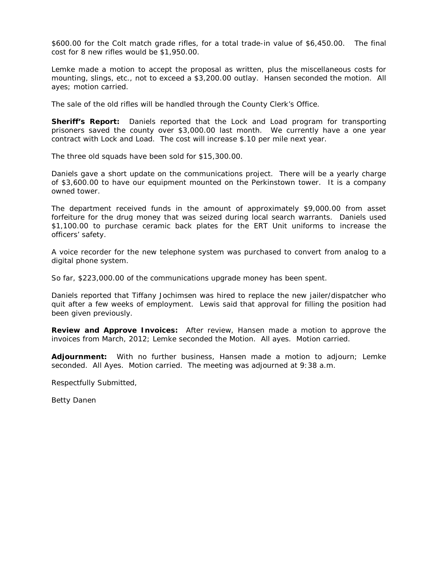\$600.00 for the Colt match grade rifles, for a total trade-in value of \$6,450.00. The final cost for 8 new rifles would be \$1,950.00.

Lemke made a motion to accept the proposal as written, plus the miscellaneous costs for mounting, slings, etc., not to exceed a \$3,200.00 outlay. Hansen seconded the motion. All ayes; motion carried.

The sale of the old rifles will be handled through the County Clerk's Office.

**Sheriff's Report:** Daniels reported that the Lock and Load program for transporting prisoners saved the county over \$3,000.00 last month. We currently have a one year contract with Lock and Load. The cost will increase \$.10 per mile next year.

The three old squads have been sold for \$15,300.00.

Daniels gave a short update on the communications project. There will be a yearly charge of \$3,600.00 to have our equipment mounted on the Perkinstown tower. It is a company owned tower.

The department received funds in the amount of approximately \$9,000.00 from asset forfeiture for the drug money that was seized during local search warrants. Daniels used \$1,100.00 to purchase ceramic back plates for the ERT Unit uniforms to increase the officers' safety.

A voice recorder for the new telephone system was purchased to convert from analog to a digital phone system.

So far, \$223,000.00 of the communications upgrade money has been spent.

Daniels reported that Tiffany Jochimsen was hired to replace the new jailer/dispatcher who quit after a few weeks of employment. Lewis said that approval for filling the position had been given previously.

**Review and Approve Invoices:** After review, Hansen made a motion to approve the invoices from March, 2012; Lemke seconded the Motion. All ayes. Motion carried.

**Adjournment:** With no further business, Hansen made a motion to adjourn; Lemke seconded. All Ayes. Motion carried. The meeting was adjourned at 9:38 a.m.

Respectfully Submitted,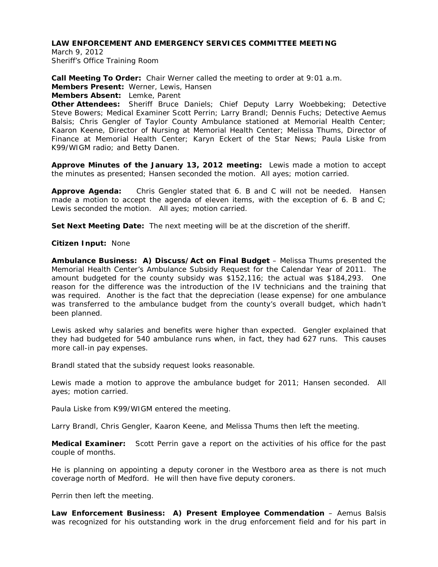March 9, 2012 Sheriff's Office Training Room

**Call Meeting To Order:** Chair Werner called the meeting to order at 9:01 a.m. **Members Present:** Werner, Lewis, Hansen **Members Absent:** Lemke, Parent

**Other Attendees:** Sheriff Bruce Daniels; Chief Deputy Larry Woebbeking; Detective Steve Bowers; Medical Examiner Scott Perrin; Larry Brandl; Dennis Fuchs; Detective Aemus Balsis; Chris Gengler of Taylor County Ambulance stationed at Memorial Health Center; Kaaron Keene, Director of Nursing at Memorial Health Center; Melissa Thums, Director of Finance at Memorial Health Center; Karyn Eckert of the Star News; Paula Liske from K99/WIGM radio; and Betty Danen.

**Approve Minutes of the January 13, 2012 meeting:** Lewis made a motion to accept the minutes as presented; Hansen seconded the motion. All ayes; motion carried.

**Approve Agenda:** Chris Gengler stated that 6. B and C will not be needed. Hansen made a motion to accept the agenda of eleven items, with the exception of 6. B and C; Lewis seconded the motion. All ayes; motion carried.

**Set Next Meeting Date:** The next meeting will be at the discretion of the sheriff.

**Citizen Input:** None

**Ambulance Business: A) Discuss/Act on Final Budget** – Melissa Thums presented the Memorial Health Center's Ambulance Subsidy Request for the Calendar Year of 2011. The amount budgeted for the county subsidy was \$152,116; the actual was \$184,293. One reason for the difference was the introduction of the IV technicians and the training that was required. Another is the fact that the depreciation (lease expense) for one ambulance was transferred to the ambulance budget from the county's overall budget, which hadn't been planned.

Lewis asked why salaries and benefits were higher than expected. Gengler explained that they had budgeted for 540 ambulance runs when, in fact, they had 627 runs. This causes more call-in pay expenses.

Brandl stated that the subsidy request looks reasonable.

Lewis made a motion to approve the ambulance budget for 2011; Hansen seconded. All ayes; motion carried.

Paula Liske from K99/WIGM entered the meeting.

Larry Brandl, Chris Gengler, Kaaron Keene, and Melissa Thums then left the meeting.

**Medical Examiner:** Scott Perrin gave a report on the activities of his office for the past couple of months.

He is planning on appointing a deputy coroner in the Westboro area as there is not much coverage north of Medford. He will then have five deputy coroners.

Perrin then left the meeting.

**Law Enforcement Business: A) Present Employee Commendation** – Aemus Balsis was recognized for his outstanding work in the drug enforcement field and for his part in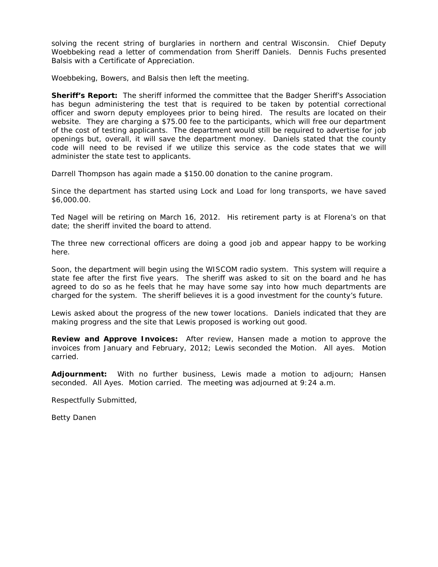solving the recent string of burglaries in northern and central Wisconsin. Chief Deputy Woebbeking read a letter of commendation from Sheriff Daniels. Dennis Fuchs presented Balsis with a Certificate of Appreciation.

Woebbeking, Bowers, and Balsis then left the meeting.

**Sheriff's Report:** The sheriff informed the committee that the Badger Sheriff's Association has begun administering the test that is required to be taken by potential correctional officer and sworn deputy employees prior to being hired. The results are located on their website. They are charging a \$75.00 fee to the participants, which will free our department of the cost of testing applicants. The department would still be required to advertise for job openings but, overall, it will save the department money. Daniels stated that the county code will need to be revised if we utilize this service as the code states that we will administer the state test to applicants.

Darrell Thompson has again made a \$150.00 donation to the canine program.

Since the department has started using Lock and Load for long transports, we have saved \$6,000.00.

Ted Nagel will be retiring on March 16, 2012. His retirement party is at Florena's on that date; the sheriff invited the board to attend.

The three new correctional officers are doing a good job and appear happy to be working here.

Soon, the department will begin using the WISCOM radio system. This system will require a state fee after the first five years. The sheriff was asked to sit on the board and he has agreed to do so as he feels that he may have some say into how much departments are charged for the system. The sheriff believes it is a good investment for the county's future.

Lewis asked about the progress of the new tower locations. Daniels indicated that they are making progress and the site that Lewis proposed is working out good.

**Review and Approve Invoices:** After review, Hansen made a motion to approve the invoices from January and February, 2012; Lewis seconded the Motion. All ayes. Motion carried.

**Adjournment:** With no further business, Lewis made a motion to adjourn; Hansen seconded. All Ayes. Motion carried. The meeting was adjourned at 9:24 a.m.

Respectfully Submitted,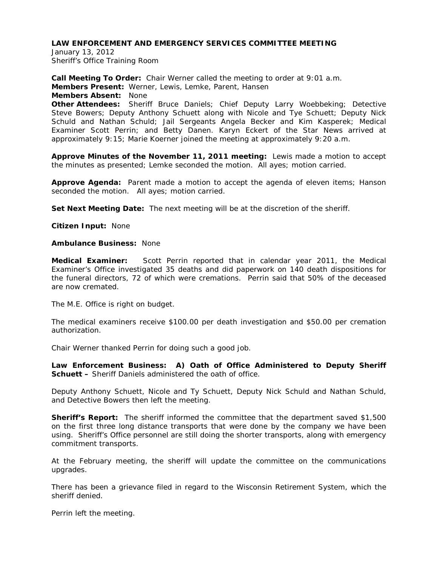January 13, 2012 Sheriff's Office Training Room

**Call Meeting To Order:** Chair Werner called the meeting to order at 9:01 a.m. **Members Present:** Werner, Lewis, Lemke, Parent, Hansen **Members Absent:** None **Other Attendees:** Sheriff Bruce Daniels; Chief Deputy Larry Woebbeking; Detective Steve Bowers; Deputy Anthony Schuett along with Nicole and Tye Schuett; Deputy Nick Schuld and Nathan Schuld; Jail Sergeants Angela Becker and Kim Kasperek; Medical Examiner Scott Perrin; and Betty Danen. Karyn Eckert of the Star News arrived at approximately 9:15; Marie Koerner joined the meeting at approximately 9:20 a.m.

**Approve Minutes of the November 11, 2011 meeting:** Lewis made a motion to accept the minutes as presented; Lemke seconded the motion. All ayes; motion carried.

**Approve Agenda:** Parent made a motion to accept the agenda of eleven items; Hanson seconded the motion. All ayes; motion carried.

**Set Next Meeting Date:** The next meeting will be at the discretion of the sheriff.

**Citizen Input:** None

#### **Ambulance Business:** None

**Medical Examiner:** Scott Perrin reported that in calendar year 2011, the Medical Examiner's Office investigated 35 deaths and did paperwork on 140 death dispositions for the funeral directors, 72 of which were cremations. Perrin said that 50% of the deceased are now cremated.

The M.E. Office is right on budget.

The medical examiners receive \$100.00 per death investigation and \$50.00 per cremation authorization.

Chair Werner thanked Perrin for doing such a good job.

**Law Enforcement Business: A) Oath of Office Administered to Deputy Sheriff Schuett –** Sheriff Daniels administered the oath of office.

Deputy Anthony Schuett, Nicole and Ty Schuett, Deputy Nick Schuld and Nathan Schuld, and Detective Bowers then left the meeting.

**Sheriff's Report:** The sheriff informed the committee that the department saved \$1,500 on the first three long distance transports that were done by the company we have been using. Sheriff's Office personnel are still doing the shorter transports, along with emergency commitment transports.

At the February meeting, the sheriff will update the committee on the communications upgrades.

There has been a grievance filed in regard to the Wisconsin Retirement System, which the sheriff denied.

Perrin left the meeting.